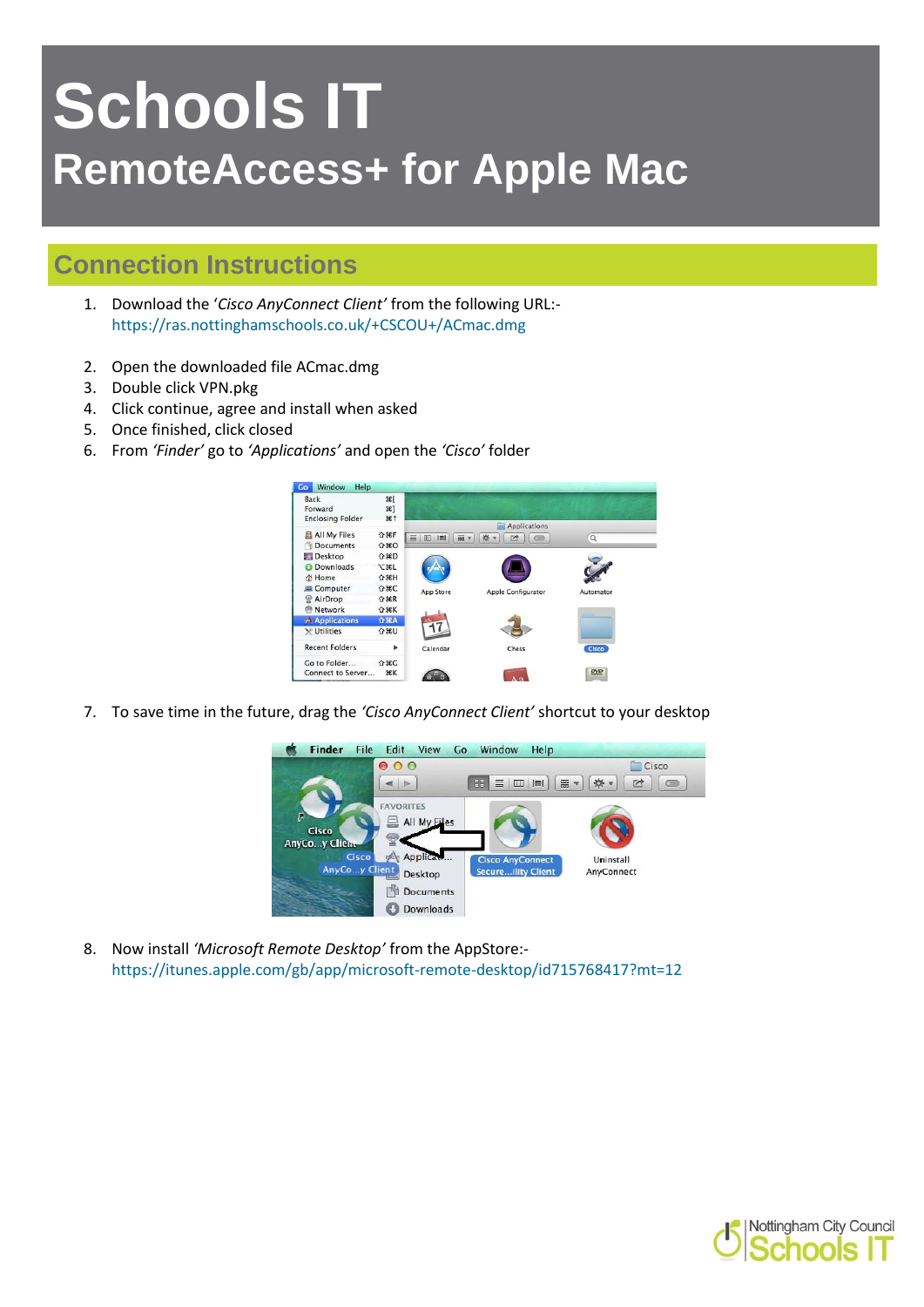## **Schools IT RemoteAccess+ for Apple Mac**

## **Connection Instructions**

- 1. Download the '*Cisco AnyConnect Client'* from the following URL: <https://ras.nottinghamschools.co.uk/+CSCOU+/ACmac.dmg>
- 2. Open the downloaded file ACmac.dmg
- 3. Double click VPN.pkg
- 4. Click continue, agree and install when asked
- 5. Once finished, click closed
- 6. From *'Finder'* go to *'Applications'* and open the *'Cisco'* folder



7. To save time in the future, drag the *'Cisco AnyConnect Client'* shortcut to your desktop



8. Now install *'Microsoft Remote Desktop'* from the AppStore: <https://itunes.apple.com/gb/app/microsoft-remote-desktop/id715768417?mt=12>